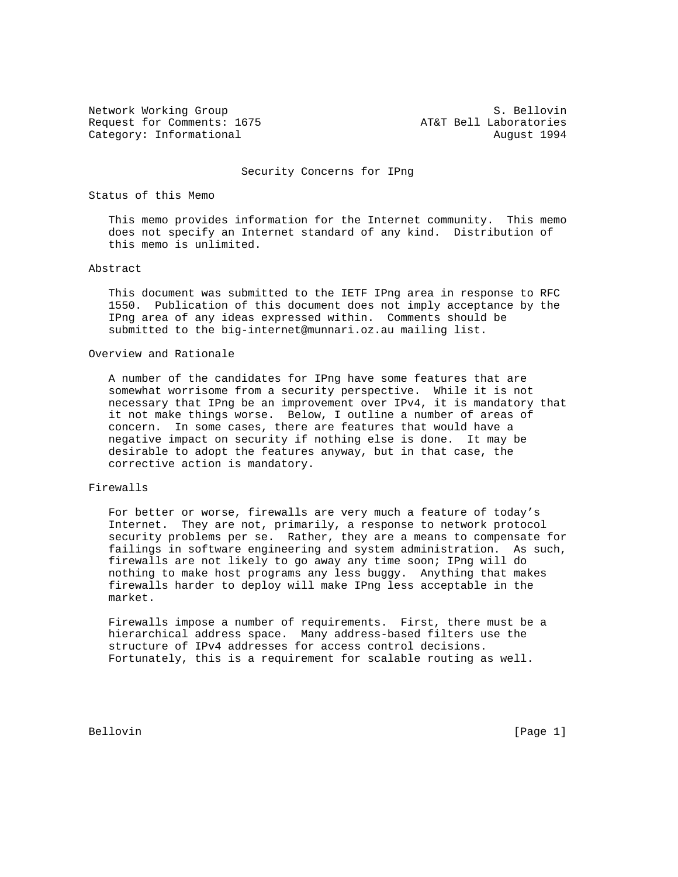Request for Comments: 1675 AT&T Bell Laboratories Category: Informational and August 1994

Network Working Group S. Bellovin

#### Security Concerns for IPng

# Status of this Memo

 This memo provides information for the Internet community. This memo does not specify an Internet standard of any kind. Distribution of this memo is unlimited.

## Abstract

 This document was submitted to the IETF IPng area in response to RFC 1550. Publication of this document does not imply acceptance by the IPng area of any ideas expressed within. Comments should be submitted to the big-internet@munnari.oz.au mailing list.

## Overview and Rationale

 A number of the candidates for IPng have some features that are somewhat worrisome from a security perspective. While it is not necessary that IPng be an improvement over IPv4, it is mandatory that it not make things worse. Below, I outline a number of areas of concern. In some cases, there are features that would have a negative impact on security if nothing else is done. It may be desirable to adopt the features anyway, but in that case, the corrective action is mandatory.

## Firewalls

 For better or worse, firewalls are very much a feature of today's Internet. They are not, primarily, a response to network protocol security problems per se. Rather, they are a means to compensate for failings in software engineering and system administration. As such, firewalls are not likely to go away any time soon; IPng will do nothing to make host programs any less buggy. Anything that makes firewalls harder to deploy will make IPng less acceptable in the market.

 Firewalls impose a number of requirements. First, there must be a hierarchical address space. Many address-based filters use the structure of IPv4 addresses for access control decisions. Fortunately, this is a requirement for scalable routing as well.

Bellovin [Page 1]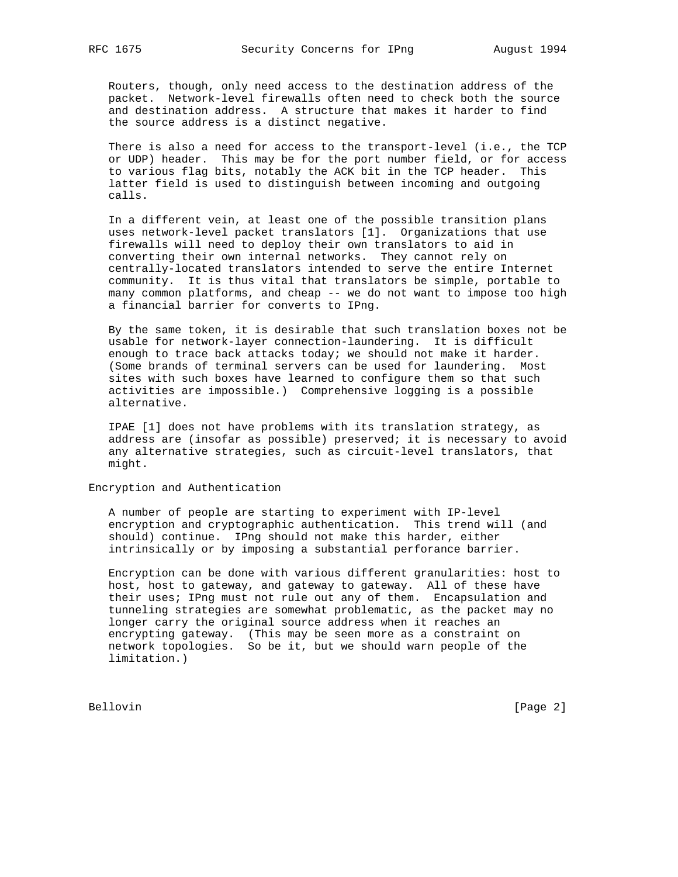Routers, though, only need access to the destination address of the packet. Network-level firewalls often need to check both the source and destination address. A structure that makes it harder to find the source address is a distinct negative.

 There is also a need for access to the transport-level (i.e., the TCP or UDP) header. This may be for the port number field, or for access to various flag bits, notably the ACK bit in the TCP header. This latter field is used to distinguish between incoming and outgoing calls.

 In a different vein, at least one of the possible transition plans uses network-level packet translators [1]. Organizations that use firewalls will need to deploy their own translators to aid in converting their own internal networks. They cannot rely on centrally-located translators intended to serve the entire Internet community. It is thus vital that translators be simple, portable to many common platforms, and cheap -- we do not want to impose too high a financial barrier for converts to IPng.

 By the same token, it is desirable that such translation boxes not be usable for network-layer connection-laundering. It is difficult enough to trace back attacks today; we should not make it harder. (Some brands of terminal servers can be used for laundering. Most sites with such boxes have learned to configure them so that such activities are impossible.) Comprehensive logging is a possible alternative.

 IPAE [1] does not have problems with its translation strategy, as address are (insofar as possible) preserved; it is necessary to avoid any alternative strategies, such as circuit-level translators, that might.

Encryption and Authentication

 A number of people are starting to experiment with IP-level encryption and cryptographic authentication. This trend will (and should) continue. IPng should not make this harder, either intrinsically or by imposing a substantial perforance barrier.

 Encryption can be done with various different granularities: host to host, host to gateway, and gateway to gateway. All of these have their uses; IPng must not rule out any of them. Encapsulation and tunneling strategies are somewhat problematic, as the packet may no longer carry the original source address when it reaches an encrypting gateway. (This may be seen more as a constraint on network topologies. So be it, but we should warn people of the limitation.)

Bellovin [Page 2]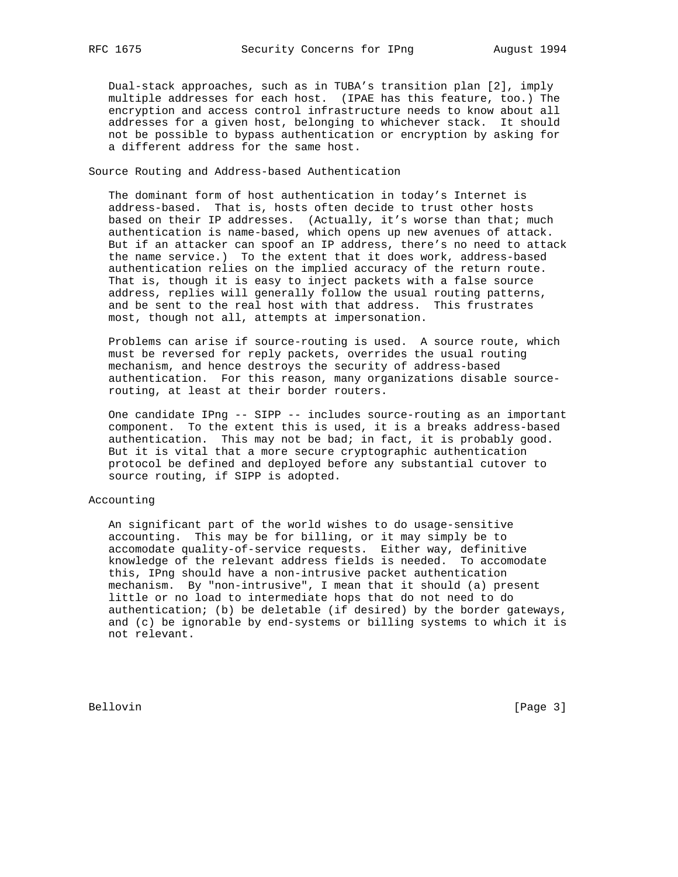Dual-stack approaches, such as in TUBA's transition plan [2], imply multiple addresses for each host. (IPAE has this feature, too.) The encryption and access control infrastructure needs to know about all addresses for a given host, belonging to whichever stack. It should not be possible to bypass authentication or encryption by asking for a different address for the same host.

## Source Routing and Address-based Authentication

 The dominant form of host authentication in today's Internet is address-based. That is, hosts often decide to trust other hosts based on their IP addresses. (Actually, it's worse than that; much authentication is name-based, which opens up new avenues of attack. But if an attacker can spoof an IP address, there's no need to attack the name service.) To the extent that it does work, address-based authentication relies on the implied accuracy of the return route. That is, though it is easy to inject packets with a false source address, replies will generally follow the usual routing patterns, and be sent to the real host with that address. This frustrates most, though not all, attempts at impersonation.

 Problems can arise if source-routing is used. A source route, which must be reversed for reply packets, overrides the usual routing mechanism, and hence destroys the security of address-based authentication. For this reason, many organizations disable source routing, at least at their border routers.

 One candidate IPng -- SIPP -- includes source-routing as an important component. To the extent this is used, it is a breaks address-based authentication. This may not be bad; in fact, it is probably good. But it is vital that a more secure cryptographic authentication protocol be defined and deployed before any substantial cutover to source routing, if SIPP is adopted.

# Accounting

 An significant part of the world wishes to do usage-sensitive accounting. This may be for billing, or it may simply be to accomodate quality-of-service requests. Either way, definitive knowledge of the relevant address fields is needed. To accomodate this, IPng should have a non-intrusive packet authentication mechanism. By "non-intrusive", I mean that it should (a) present little or no load to intermediate hops that do not need to do authentication; (b) be deletable (if desired) by the border gateways, and (c) be ignorable by end-systems or billing systems to which it is not relevant.

Bellovin [Page 3]